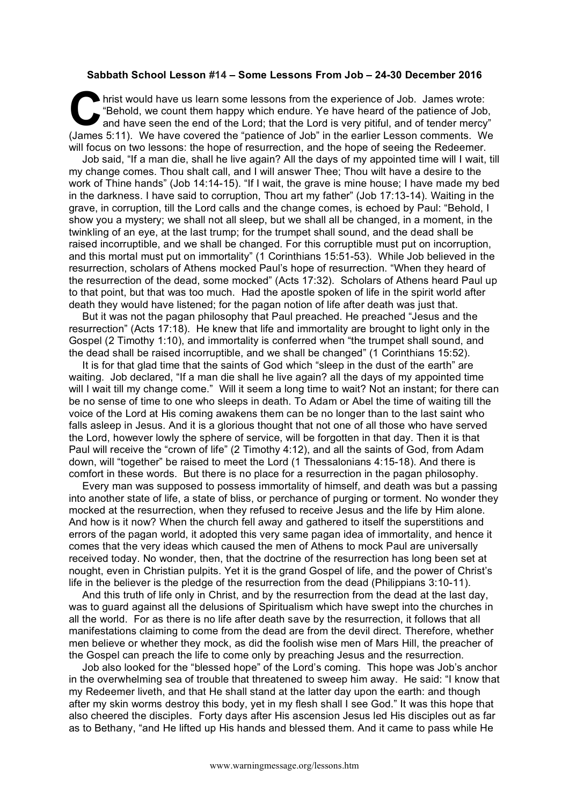## **Sabbath School Lesson #14 – Some Lessons From Job – 24-30 December 2016**

hrist would have us learn some lessons from the experience of Job. James wrote: "Behold, we count them happy which endure. Ye have heard of the patience of Job, and have seen the end of the Lord; that the Lord is very pitiful, and of tender mercy" (James 5:11). We have covered the "patience of Job" in the earlier Lesson comments. We will focus on two lessons: the hope of resurrection, and the hope of seeing the Redeemer. **C**  $\frac{h}{2}$ 

Job said, "If a man die, shall he live again? All the days of my appointed time will I wait, till my change comes. Thou shalt call, and I will answer Thee; Thou wilt have a desire to the work of Thine hands" (Job 14:14-15). "If I wait, the grave is mine house; I have made my bed in the darkness. I have said to corruption, Thou art my father" (Job 17:13-14). Waiting in the grave, in corruption, till the Lord calls and the change comes, is echoed by Paul: "Behold, I show you a mystery; we shall not all sleep, but we shall all be changed, in a moment, in the twinkling of an eye, at the last trump; for the trumpet shall sound, and the dead shall be raised incorruptible, and we shall be changed. For this corruptible must put on incorruption, and this mortal must put on immortality" (1 Corinthians 15:51-53). While Job believed in the resurrection, scholars of Athens mocked Paul's hope of resurrection. "When they heard of the resurrection of the dead, some mocked" (Acts 17:32). Scholars of Athens heard Paul up to that point, but that was too much. Had the apostle spoken of life in the spirit world after death they would have listened; for the pagan notion of life after death was just that.

But it was not the pagan philosophy that Paul preached. He preached "Jesus and the resurrection" (Acts 17:18). He knew that life and immortality are brought to light only in the Gospel (2 Timothy 1:10), and immortality is conferred when "the trumpet shall sound, and the dead shall be raised incorruptible, and we shall be changed" (1 Corinthians 15:52).

It is for that glad time that the saints of God which "sleep in the dust of the earth" are waiting. Job declared, "If a man die shall he live again? all the days of my appointed time will I wait till my change come." Will it seem a long time to wait? Not an instant; for there can be no sense of time to one who sleeps in death. To Adam or Abel the time of waiting till the voice of the Lord at His coming awakens them can be no longer than to the last saint who falls asleep in Jesus. And it is a glorious thought that not one of all those who have served the Lord, however lowly the sphere of service, will be forgotten in that day. Then it is that Paul will receive the "crown of life" (2 Timothy 4:12), and all the saints of God, from Adam down, will "together" be raised to meet the Lord (1 Thessalonians 4:15-18). And there is comfort in these words. But there is no place for a resurrection in the pagan philosophy.

Every man was supposed to possess immortality of himself, and death was but a passing into another state of life, a state of bliss, or perchance of purging or torment. No wonder they mocked at the resurrection, when they refused to receive Jesus and the life by Him alone. And how is it now? When the church fell away and gathered to itself the superstitions and errors of the pagan world, it adopted this very same pagan idea of immortality, and hence it comes that the very ideas which caused the men of Athens to mock Paul are universally received today. No wonder, then, that the doctrine of the resurrection has long been set at nought, even in Christian pulpits. Yet it is the grand Gospel of life, and the power of Christ's life in the believer is the pledge of the resurrection from the dead (Philippians 3:10-11).

And this truth of life only in Christ, and by the resurrection from the dead at the last day, was to guard against all the delusions of Spiritualism which have swept into the churches in all the world. For as there is no life after death save by the resurrection, it follows that all manifestations claiming to come from the dead are from the devil direct. Therefore, whether men believe or whether they mock, as did the foolish wise men of Mars Hill, the preacher of the Gospel can preach the life to come only by preaching Jesus and the resurrection.

Job also looked for the "blessed hope" of the Lord's coming. This hope was Job's anchor in the overwhelming sea of trouble that threatened to sweep him away. He said: "I know that my Redeemer liveth, and that He shall stand at the latter day upon the earth: and though after my skin worms destroy this body, yet in my flesh shall I see God." It was this hope that also cheered the disciples. Forty days after His ascension Jesus led His disciples out as far as to Bethany, "and He lifted up His hands and blessed them. And it came to pass while He